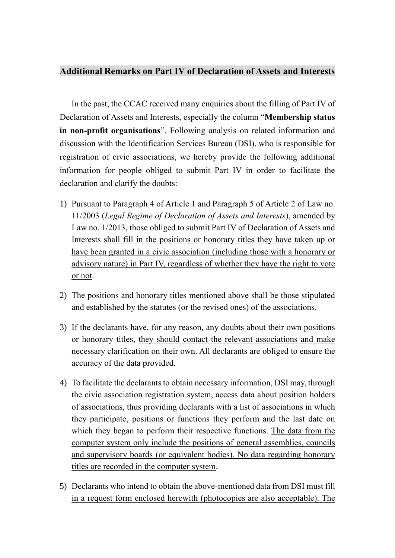## **Additional Remarks on Part IV of Declaration of Assets and Interests**

In the past, the CCAC received many enquiries about the filling of Part IV of Declaration of Assets and Interests, especially the column "**Membership status in non-profit organisations**". Following analysis on related information and discussion with the Identification Services Bureau (DSI), who is responsible for registration of civic associations, we hereby provide the following additional information for people obliged to submit Part IV in order to facilitate the declaration and clarify the doubts:

- 1) Pursuant to Paragraph 4 of Article 1 and Paragraph 5 of Article 2 of Law no. 11/2003 (*Legal Regime of Declaration of Assets and Interests*), amended by Law no. 1/2013, those obliged to submit Part IV of Declaration of Assets and Interests shall fill in the positions or honorary titles they have taken up or have been granted in a civic association (including those with a honorary or advisory nature) in Part IV, regardless of whether they have the right to vote or not.
- 2) The positions and honorary titles mentioned above shall be those stipulated and established by the statutes (or the revised ones) of the associations.
- 3) If the declarants have, for any reason, any doubts about their own positions or honorary titles, they should contact the relevant associations and make necessary clarification on their own. All declarants are obliged to ensure the accuracy of the data provided.
- 4) To facilitate the declarants to obtain necessary information, DSI may, through the civic association registration system, access data about position holders of associations, thus providing declarants with a list of associations in which they participate, positions or functions they perform and the last date on which they began to perform their respective functions. The data from the computer system only include the positions of general assemblies, councils and supervisory boards (or equivalent bodies). No data regarding honorary titles are recorded in the computer system.
- 5) Declarants who intend to obtain the above-mentioned data from DSI must fill in a request form enclosed herewith (photocopies are also acceptable). The